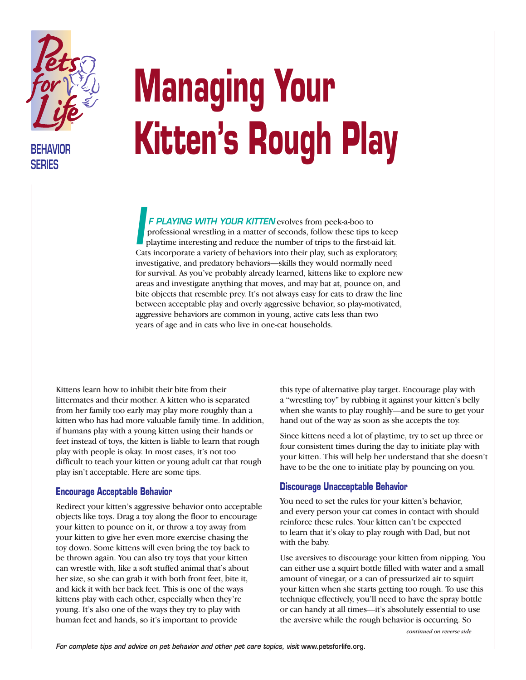

**BEHAVIOR SERIES**

## **Managing Your Kitten's Rough Play**

*F PLAYING WITH YOUR KITTEN* evolves from peek-a-boo to professional wrestling in a matter of seconds, follow these tips to keep playtime interesting and reduce the number of trips to the first-aid kit. Cats incorporate a variety of behaviors into their play, such as exploratory, investigative, and predatory behaviors—skills they would normally need for survival. As you've probably already learned, kittens like to explore new areas and investigate anything that moves, and may bat at, pounce on, and bite objects that resemble prey. It's not always easy for cats to draw the line between acceptable play and overly aggressive behavior, so play-motivated, aggressive behaviors are common in young, active cats less than two years of age and in cats who live in one-cat households. *I*

Kittens learn how to inhibit their bite from their littermates and their mother. A kitten who is separated from her family too early may play more roughly than a kitten who has had more valuable family time. In addition, if humans play with a young kitten using their hands or feet instead of toys, the kitten is liable to learn that rough play with people is okay. In most cases, it's not too difficult to teach your kitten or young adult cat that rough play isn't acceptable. Here are some tips.

## **Encourage Acceptable Behavior**

Redirect your kitten's aggressive behavior onto acceptable objects like toys. Drag a toy along the floor to encourage your kitten to pounce on it, or throw a toy away from your kitten to give her even more exercise chasing the toy down. Some kittens will even bring the toy back to be thrown again. You can also try toys that your kitten can wrestle with, like a soft stuffed animal that's about her size, so she can grab it with both front feet, bite it, and kick it with her back feet. This is one of the ways kittens play with each other, especially when they're young. It's also one of the ways they try to play with human feet and hands, so it's important to provide

this type of alternative play target. Encourage play with a "wrestling toy" by rubbing it against your kitten's belly when she wants to play roughly—and be sure to get your hand out of the way as soon as she accepts the toy.

Since kittens need a lot of playtime, try to set up three or four consistent times during the day to initiate play with your kitten. This will help her understand that she doesn't have to be the one to initiate play by pouncing on you.

## **Discourage Unacceptable Behavior**

You need to set the rules for your kitten's behavior, and every person your cat comes in contact with should reinforce these rules. Your kitten can't be expected to learn that it's okay to play rough with Dad, but not with the baby.

Use aversives to discourage your kitten from nipping. You can either use a squirt bottle filled with water and a small amount of vinegar, or a can of pressurized air to squirt your kitten when she starts getting too rough. To use this technique effectively, you'll need to have the spray bottle or can handy at all times—it's absolutely essential to use the aversive while the rough behavior is occurring. So

*continued on reverse side*